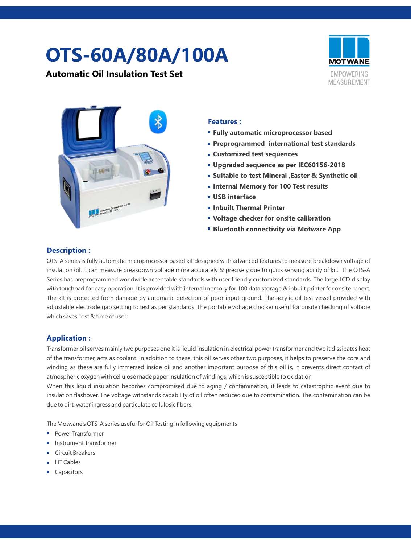# **OTS-60A/80A/100A**

**Automatic Oil Insulation Test Set** 





#### **Features :**

- **Fully automatic microprocessor based**
- **Preprogrammed international test standards**
- **Customized test sequences**
- **Upgraded sequence as per IEC60156-2018**
- **Suitable to test Mineral ,Easter & Synthetic oil**
- **Internal Memory for 100 Test results**
- **USB interface**
- **Inbuilt Thermal Printer**
- **Voltage checker for onsite calibration**
- **Bluetooth connectivity via Motware App**

#### **Description :**

OTS-A series is fully automatic microprocessor based kit designed with advanced features to measure breakdown voltage of insulation oil. It can measure breakdown voltage more accurately & precisely due to quick sensing ability of kit. The OTS-A Series has preprogrammed worldwide acceptable standards with user friendly customized standards. The large LCD display with touchpad for easy operation. It is provided with internal memory for 100 data storage & inbuilt printer for onsite report. The kit is protected from damage by automatic detection of poor input ground. The acrylic oil test vessel provided with adjustable electrode gap setting to test as per standards. The portable voltage checker useful for onsite checking of voltage which saves cost & time of user.

### **Application :**

Transformer oil serves mainly two purposes one it is liquid insulation in electrical power transformer and two it dissipates heat of the transformer, acts as coolant. In addition to these, this oil serves other two purposes, it helps to preserve the core and winding as these are fully immersed inside oil and another important purpose of this oil is, it prevents direct contact of atmospheric oxygen with cellulose made paper insulation of windings, which is susceptible to oxidation

When this liquid insulation becomes compromised due to aging / contamination, it leads to catastrophic event due to insulation flashover. The voltage withstands capability of oil often reduced due to contamination. The contamination can be due to dirt, water ingress and particulate cellulosic fibers.

The Motwane's OTS-A series useful for Oil Testing in following equipments

- Power Transformer
- Instrument Transformer
- Circuit Breakers
- HT Cables
- Capacitors